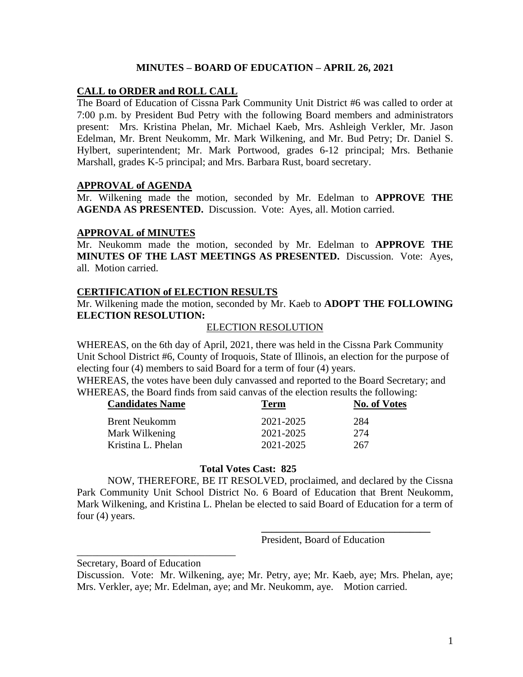## **MINUTES – BOARD OF EDUCATION – APRIL 26, 2021**

### **CALL to ORDER and ROLL CALL**

The Board of Education of Cissna Park Community Unit District #6 was called to order at 7:00 p.m. by President Bud Petry with the following Board members and administrators present: Mrs. Kristina Phelan, Mr. Michael Kaeb, Mrs. Ashleigh Verkler, Mr. Jason Edelman, Mr. Brent Neukomm, Mr. Mark Wilkening, and Mr. Bud Petry; Dr. Daniel S. Hylbert, superintendent; Mr. Mark Portwood, grades 6-12 principal; Mrs. Bethanie Marshall, grades K-5 principal; and Mrs. Barbara Rust, board secretary.

#### **APPROVAL of AGENDA**

Mr. Wilkening made the motion, seconded by Mr. Edelman to **APPROVE THE AGENDA AS PRESENTED.** Discussion. Vote: Ayes, all. Motion carried.

#### **APPROVAL of MINUTES**

Mr. Neukomm made the motion, seconded by Mr. Edelman to **APPROVE THE MINUTES OF THE LAST MEETINGS AS PRESENTED.** Discussion. Vote: Ayes, all. Motion carried.

### **CERTIFICATION of ELECTION RESULTS**

Mr. Wilkening made the motion, seconded by Mr. Kaeb to **ADOPT THE FOLLOWING ELECTION RESOLUTION:**

#### ELECTION RESOLUTION

WHEREAS, on the 6th day of April, 2021, there was held in the Cissna Park Community Unit School District #6, County of Iroquois, State of Illinois, an election for the purpose of electing four (4) members to said Board for a term of four (4) years.

WHEREAS, the votes have been duly canvassed and reported to the Board Secretary; and WHEREAS, the Board finds from said canvas of the election results the following:

| <b>Candidates Name</b> | Term      | <b>No. of Votes</b> |
|------------------------|-----------|---------------------|
| <b>Brent Neukomm</b>   | 2021-2025 | 284                 |
| Mark Wilkening         | 2021-2025 | 274                 |
| Kristina L. Phelan     | 2021-2025 | 267                 |

#### **Total Votes Cast: 825**

NOW, THEREFORE, BE IT RESOLVED, proclaimed, and declared by the Cissna Park Community Unit School District No. 6 Board of Education that Brent Neukomm, Mark Wilkening, and Kristina L. Phelan be elected to said Board of Education for a term of four (4) years.

President, Board of Education

**\_\_\_\_\_\_\_\_\_\_\_\_\_\_\_\_\_\_\_\_\_\_\_\_\_\_\_\_\_\_\_\_\_**

Secretary, Board of Education

\_\_\_\_\_\_\_\_\_\_\_\_\_\_\_\_\_\_\_\_\_\_\_\_\_\_\_\_\_\_\_

Discussion. Vote: Mr. Wilkening, aye; Mr. Petry, aye; Mr. Kaeb, aye; Mrs. Phelan, aye; Mrs. Verkler, aye; Mr. Edelman, aye; and Mr. Neukomm, aye. Motion carried.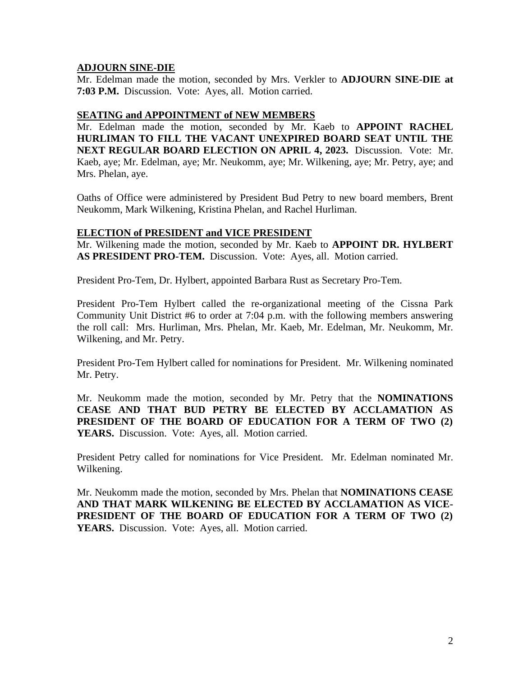# **ADJOURN SINE-DIE**

Mr. Edelman made the motion, seconded by Mrs. Verkler to **ADJOURN SINE-DIE at 7:03 P.M.** Discussion. Vote: Ayes, all. Motion carried.

## **SEATING and APPOINTMENT of NEW MEMBERS**

Mr. Edelman made the motion, seconded by Mr. Kaeb to **APPOINT RACHEL HURLIMAN TO FILL THE VACANT UNEXPIRED BOARD SEAT UNTIL THE NEXT REGULAR BOARD ELECTION ON APRIL 4, 2023.** Discussion. Vote: Mr. Kaeb, aye; Mr. Edelman, aye; Mr. Neukomm, aye; Mr. Wilkening, aye; Mr. Petry, aye; and Mrs. Phelan, aye.

Oaths of Office were administered by President Bud Petry to new board members, Brent Neukomm, Mark Wilkening, Kristina Phelan, and Rachel Hurliman.

## **ELECTION of PRESIDENT and VICE PRESIDENT**

Mr. Wilkening made the motion, seconded by Mr. Kaeb to **APPOINT DR. HYLBERT AS PRESIDENT PRO-TEM.** Discussion. Vote: Ayes, all. Motion carried.

President Pro-Tem, Dr. Hylbert, appointed Barbara Rust as Secretary Pro-Tem.

President Pro-Tem Hylbert called the re-organizational meeting of the Cissna Park Community Unit District #6 to order at 7:04 p.m. with the following members answering the roll call: Mrs. Hurliman, Mrs. Phelan, Mr. Kaeb, Mr. Edelman, Mr. Neukomm, Mr. Wilkening, and Mr. Petry.

President Pro-Tem Hylbert called for nominations for President. Mr. Wilkening nominated Mr. Petry.

Mr. Neukomm made the motion, seconded by Mr. Petry that the **NOMINATIONS CEASE AND THAT BUD PETRY BE ELECTED BY ACCLAMATION AS PRESIDENT OF THE BOARD OF EDUCATION FOR A TERM OF TWO (2) YEARS.** Discussion. Vote: Ayes, all. Motion carried.

President Petry called for nominations for Vice President. Mr. Edelman nominated Mr. Wilkening.

Mr. Neukomm made the motion, seconded by Mrs. Phelan that **NOMINATIONS CEASE AND THAT MARK WILKENING BE ELECTED BY ACCLAMATION AS VICE-PRESIDENT OF THE BOARD OF EDUCATION FOR A TERM OF TWO (2)**  YEARS. Discussion. Vote: Ayes, all. Motion carried.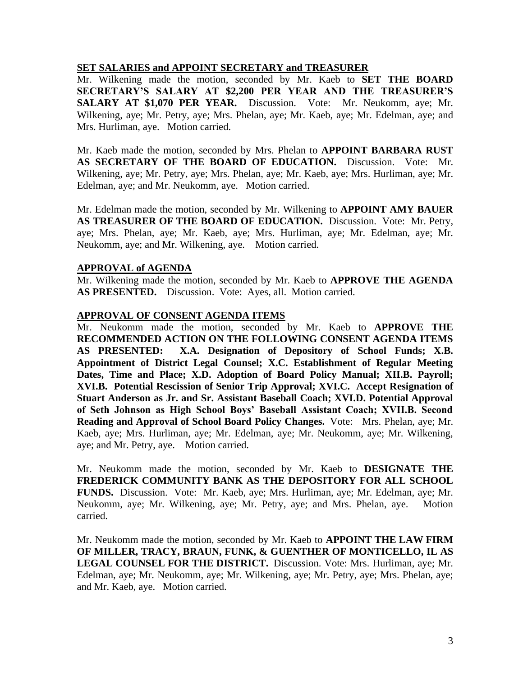### **SET SALARIES and APPOINT SECRETARY and TREASURER**

Mr. Wilkening made the motion, seconded by Mr. Kaeb to **SET THE BOARD SECRETARY'S SALARY AT \$2,200 PER YEAR AND THE TREASURER'S SALARY AT \$1,070 PER YEAR.** Discussion. Vote: Mr. Neukomm, aye; Mr. Wilkening, aye; Mr. Petry, aye; Mrs. Phelan, aye; Mr. Kaeb, aye; Mr. Edelman, aye; and Mrs. Hurliman, aye. Motion carried.

Mr. Kaeb made the motion, seconded by Mrs. Phelan to **APPOINT BARBARA RUST AS SECRETARY OF THE BOARD OF EDUCATION.** Discussion. Vote: Mr. Wilkening, aye; Mr. Petry, aye; Mrs. Phelan, aye; Mr. Kaeb, aye; Mrs. Hurliman, aye; Mr. Edelman, aye; and Mr. Neukomm, aye. Motion carried.

Mr. Edelman made the motion, seconded by Mr. Wilkening to **APPOINT AMY BAUER AS TREASURER OF THE BOARD OF EDUCATION.** Discussion. Vote: Mr. Petry, aye; Mrs. Phelan, aye; Mr. Kaeb, aye; Mrs. Hurliman, aye; Mr. Edelman, aye; Mr. Neukomm, aye; and Mr. Wilkening, aye. Motion carried.

### **APPROVAL of AGENDA**

Mr. Wilkening made the motion, seconded by Mr. Kaeb to **APPROVE THE AGENDA AS PRESENTED.** Discussion. Vote: Ayes, all. Motion carried.

## **APPROVAL OF CONSENT AGENDA ITEMS**

Mr. Neukomm made the motion, seconded by Mr. Kaeb to **APPROVE THE RECOMMENDED ACTION ON THE FOLLOWING CONSENT AGENDA ITEMS AS PRESENTED: X.A. Designation of Depository of School Funds; X.B. Appointment of District Legal Counsel; X.C. Establishment of Regular Meeting Dates, Time and Place; X.D. Adoption of Board Policy Manual; XII.B. Payroll; XVI.B. Potential Rescission of Senior Trip Approval; XVI.C. Accept Resignation of Stuart Anderson as Jr. and Sr. Assistant Baseball Coach; XVI.D. Potential Approval of Seth Johnson as High School Boys' Baseball Assistant Coach; XVII.B. Second Reading and Approval of School Board Policy Changes.** Vote: Mrs. Phelan, aye; Mr. Kaeb, aye; Mrs. Hurliman, aye; Mr. Edelman, aye; Mr. Neukomm, aye; Mr. Wilkening, aye; and Mr. Petry, aye. Motion carried.

Mr. Neukomm made the motion, seconded by Mr. Kaeb to **DESIGNATE THE FREDERICK COMMUNITY BANK AS THE DEPOSITORY FOR ALL SCHOOL FUNDS.** Discussion. Vote: Mr. Kaeb, aye; Mrs. Hurliman, aye; Mr. Edelman, aye; Mr. Neukomm, aye; Mr. Wilkening, aye; Mr. Petry, aye; and Mrs. Phelan, aye. Motion carried.

Mr. Neukomm made the motion, seconded by Mr. Kaeb to **APPOINT THE LAW FIRM OF MILLER, TRACY, BRAUN, FUNK, & GUENTHER OF MONTICELLO, IL AS LEGAL COUNSEL FOR THE DISTRICT.** Discussion. Vote: Mrs. Hurliman, aye; Mr. Edelman, aye; Mr. Neukomm, aye; Mr. Wilkening, aye; Mr. Petry, aye; Mrs. Phelan, aye; and Mr. Kaeb, aye. Motion carried.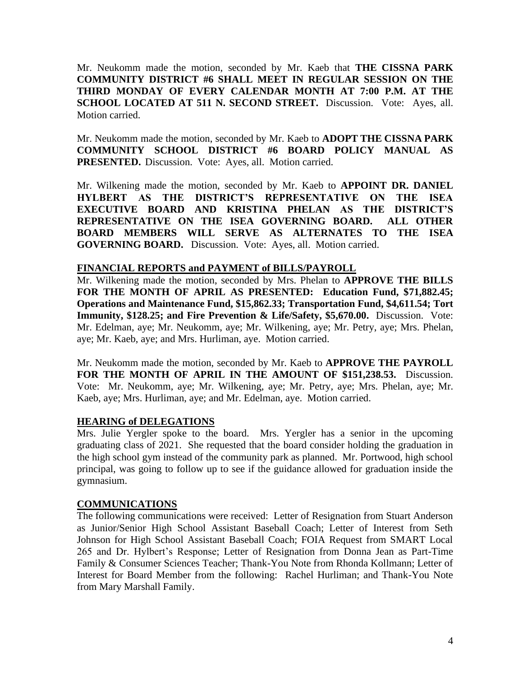Mr. Neukomm made the motion, seconded by Mr. Kaeb that **THE CISSNA PARK COMMUNITY DISTRICT #6 SHALL MEET IN REGULAR SESSION ON THE THIRD MONDAY OF EVERY CALENDAR MONTH AT 7:00 P.M. AT THE SCHOOL LOCATED AT 511 N. SECOND STREET.** Discussion. Vote: Ayes, all. Motion carried.

Mr. Neukomm made the motion, seconded by Mr. Kaeb to **ADOPT THE CISSNA PARK COMMUNITY SCHOOL DISTRICT #6 BOARD POLICY MANUAL AS** PRESENTED. Discussion. Vote: Ayes, all. Motion carried.

Mr. Wilkening made the motion, seconded by Mr. Kaeb to **APPOINT DR. DANIEL HYLBERT AS THE DISTRICT'S REPRESENTATIVE ON THE ISEA EXECUTIVE BOARD AND KRISTINA PHELAN AS THE DISTRICT'S REPRESENTATIVE ON THE ISEA GOVERNING BOARD. ALL OTHER BOARD MEMBERS WILL SERVE AS ALTERNATES TO THE ISEA GOVERNING BOARD.** Discussion. Vote: Ayes, all. Motion carried.

## **FINANCIAL REPORTS and PAYMENT of BILLS/PAYROLL**

Mr. Wilkening made the motion, seconded by Mrs. Phelan to **APPROVE THE BILLS FOR THE MONTH OF APRIL AS PRESENTED: Education Fund, \$71,882.45; Operations and Maintenance Fund, \$15,862.33; Transportation Fund, \$4,611.54; Tort Immunity, \$128.25; and Fire Prevention & Life/Safety, \$5,670.00.** Discussion. Vote: Mr. Edelman, aye; Mr. Neukomm, aye; Mr. Wilkening, aye; Mr. Petry, aye; Mrs. Phelan, aye; Mr. Kaeb, aye; and Mrs. Hurliman, aye. Motion carried.

Mr. Neukomm made the motion, seconded by Mr. Kaeb to **APPROVE THE PAYROLL FOR THE MONTH OF APRIL IN THE AMOUNT OF \$151,238.53.** Discussion. Vote: Mr. Neukomm, aye; Mr. Wilkening, aye; Mr. Petry, aye; Mrs. Phelan, aye; Mr. Kaeb, aye; Mrs. Hurliman, aye; and Mr. Edelman, aye. Motion carried.

## **HEARING of DELEGATIONS**

Mrs. Julie Yergler spoke to the board. Mrs. Yergler has a senior in the upcoming graduating class of 2021. She requested that the board consider holding the graduation in the high school gym instead of the community park as planned. Mr. Portwood, high school principal, was going to follow up to see if the guidance allowed for graduation inside the gymnasium.

## **COMMUNICATIONS**

The following communications were received: Letter of Resignation from Stuart Anderson as Junior/Senior High School Assistant Baseball Coach; Letter of Interest from Seth Johnson for High School Assistant Baseball Coach; FOIA Request from SMART Local 265 and Dr. Hylbert's Response; Letter of Resignation from Donna Jean as Part-Time Family & Consumer Sciences Teacher; Thank-You Note from Rhonda Kollmann; Letter of Interest for Board Member from the following: Rachel Hurliman; and Thank-You Note from Mary Marshall Family.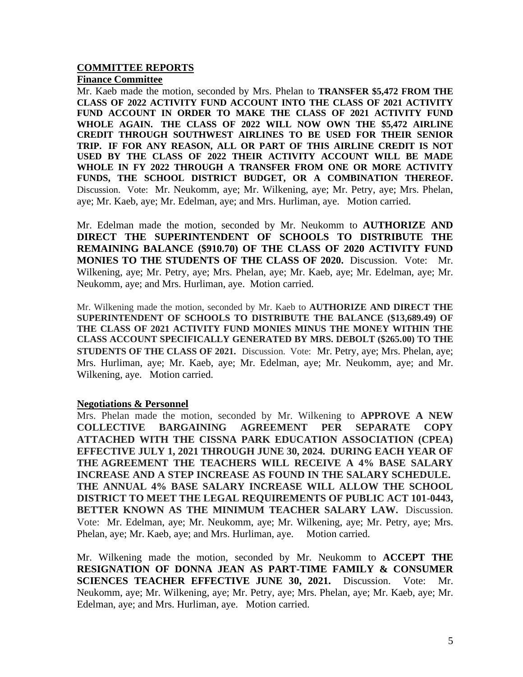#### **COMMITTEE REPORTS Finance Committee**

Mr. Kaeb made the motion, seconded by Mrs. Phelan to **TRANSFER \$5,472 FROM THE CLASS OF 2022 ACTIVITY FUND ACCOUNT INTO THE CLASS OF 2021 ACTIVITY FUND ACCOUNT IN ORDER TO MAKE THE CLASS OF 2021 ACTIVITY FUND WHOLE AGAIN. THE CLASS OF 2022 WILL NOW OWN THE \$5,472 AIRLINE CREDIT THROUGH SOUTHWEST AIRLINES TO BE USED FOR THEIR SENIOR TRIP. IF FOR ANY REASON, ALL OR PART OF THIS AIRLINE CREDIT IS NOT USED BY THE CLASS OF 2022 THEIR ACTIVITY ACCOUNT WILL BE MADE WHOLE IN FY 2022 THROUGH A TRANSFER FROM ONE OR MORE ACTIVITY FUNDS, THE SCHOOL DISTRICT BUDGET, OR A COMBINATION THEREOF.**  Discussion. Vote: Mr. Neukomm, aye; Mr. Wilkening, aye; Mr. Petry, aye; Mrs. Phelan, aye; Mr. Kaeb, aye; Mr. Edelman, aye; and Mrs. Hurliman, aye. Motion carried.

Mr. Edelman made the motion, seconded by Mr. Neukomm to **AUTHORIZE AND DIRECT THE SUPERINTENDENT OF SCHOOLS TO DISTRIBUTE THE REMAINING BALANCE (\$910.70) OF THE CLASS OF 2020 ACTIVITY FUND MONIES TO THE STUDENTS OF THE CLASS OF 2020.** Discussion. Vote: Mr. Wilkening, aye; Mr. Petry, aye; Mrs. Phelan, aye; Mr. Kaeb, aye; Mr. Edelman, aye; Mr. Neukomm, aye; and Mrs. Hurliman, aye. Motion carried.

Mr. Wilkening made the motion, seconded by Mr. Kaeb to **AUTHORIZE AND DIRECT THE SUPERINTENDENT OF SCHOOLS TO DISTRIBUTE THE BALANCE (\$13,689.49) OF THE CLASS OF 2021 ACTIVITY FUND MONIES MINUS THE MONEY WITHIN THE CLASS ACCOUNT SPECIFICALLY GENERATED BY MRS. DEBOLT (\$265.00) TO THE STUDENTS OF THE CLASS OF 2021.** Discussion. Vote: Mr. Petry, aye; Mrs. Phelan, aye; Mrs. Hurliman, aye; Mr. Kaeb, aye; Mr. Edelman, aye; Mr. Neukomm, aye; and Mr. Wilkening, aye. Motion carried.

## **Negotiations & Personnel**

Mrs. Phelan made the motion, seconded by Mr. Wilkening to **APPROVE A NEW COLLECTIVE BARGAINING AGREEMENT PER SEPARATE COPY ATTACHED WITH THE CISSNA PARK EDUCATION ASSOCIATION (CPEA) EFFECTIVE JULY 1, 2021 THROUGH JUNE 30, 2024. DURING EACH YEAR OF THE AGREEMENT THE TEACHERS WILL RECEIVE A 4% BASE SALARY INCREASE AND A STEP INCREASE AS FOUND IN THE SALARY SCHEDULE. THE ANNUAL 4% BASE SALARY INCREASE WILL ALLOW THE SCHOOL DISTRICT TO MEET THE LEGAL REQUIREMENTS OF PUBLIC ACT 101-0443, BETTER KNOWN AS THE MINIMUM TEACHER SALARY LAW.** Discussion. Vote: Mr. Edelman, aye; Mr. Neukomm, aye; Mr. Wilkening, aye; Mr. Petry, aye; Mrs. Phelan, aye; Mr. Kaeb, aye; and Mrs. Hurliman, aye. Motion carried.

Mr. Wilkening made the motion, seconded by Mr. Neukomm to **ACCEPT THE RESIGNATION OF DONNA JEAN AS PART-TIME FAMILY & CONSUMER SCIENCES TEACHER EFFECTIVE JUNE 30, 2021.** Discussion. Vote: Mr. Neukomm, aye; Mr. Wilkening, aye; Mr. Petry, aye; Mrs. Phelan, aye; Mr. Kaeb, aye; Mr. Edelman, aye; and Mrs. Hurliman, aye. Motion carried.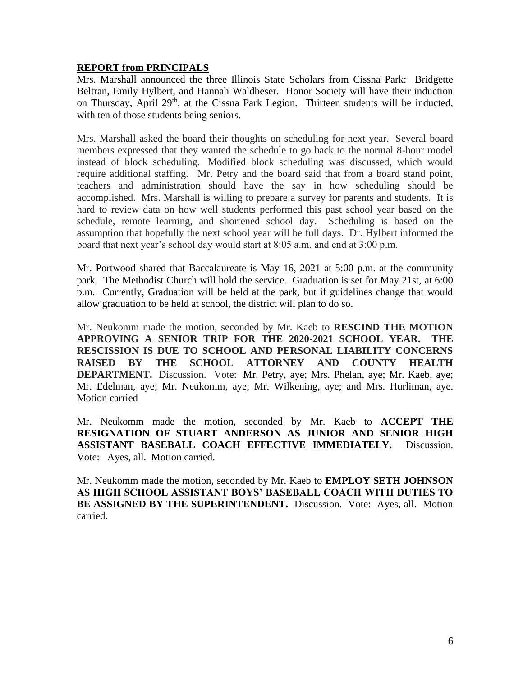# **REPORT from PRINCIPALS**

Mrs. Marshall announced the three Illinois State Scholars from Cissna Park: Bridgette Beltran, Emily Hylbert, and Hannah Waldbeser. Honor Society will have their induction on Thursday, April 29<sup>th</sup>, at the Cissna Park Legion. Thirteen students will be inducted, with ten of those students being seniors.

Mrs. Marshall asked the board their thoughts on scheduling for next year. Several board members expressed that they wanted the schedule to go back to the normal 8-hour model instead of block scheduling. Modified block scheduling was discussed, which would require additional staffing. Mr. Petry and the board said that from a board stand point, teachers and administration should have the say in how scheduling should be accomplished. Mrs. Marshall is willing to prepare a survey for parents and students. It is hard to review data on how well students performed this past school year based on the schedule, remote learning, and shortened school day. Scheduling is based on the assumption that hopefully the next school year will be full days. Dr. Hylbert informed the board that next year's school day would start at 8:05 a.m. and end at 3:00 p.m.

Mr. Portwood shared that Baccalaureate is May 16, 2021 at 5:00 p.m. at the community park. The Methodist Church will hold the service. Graduation is set for May 21st, at 6:00 p.m. Currently, Graduation will be held at the park, but if guidelines change that would allow graduation to be held at school, the district will plan to do so.

Mr. Neukomm made the motion, seconded by Mr. Kaeb to **RESCIND THE MOTION APPROVING A SENIOR TRIP FOR THE 2020-2021 SCHOOL YEAR. THE RESCISSION IS DUE TO SCHOOL AND PERSONAL LIABILITY CONCERNS RAISED BY THE SCHOOL ATTORNEY AND COUNTY HEALTH DEPARTMENT.** Discussion. Vote: Mr. Petry, aye; Mrs. Phelan, aye; Mr. Kaeb, aye; Mr. Edelman, aye; Mr. Neukomm, aye; Mr. Wilkening, aye; and Mrs. Hurliman, aye. Motion carried

Mr. Neukomm made the motion, seconded by Mr. Kaeb to **ACCEPT THE RESIGNATION OF STUART ANDERSON AS JUNIOR AND SENIOR HIGH ASSISTANT BASEBALL COACH EFFECTIVE IMMEDIATELY.** Discussion. Vote: Ayes, all. Motion carried.

Mr. Neukomm made the motion, seconded by Mr. Kaeb to **EMPLOY SETH JOHNSON AS HIGH SCHOOL ASSISTANT BOYS' BASEBALL COACH WITH DUTIES TO BE ASSIGNED BY THE SUPERINTENDENT.** Discussion. Vote: Ayes, all. Motion carried.